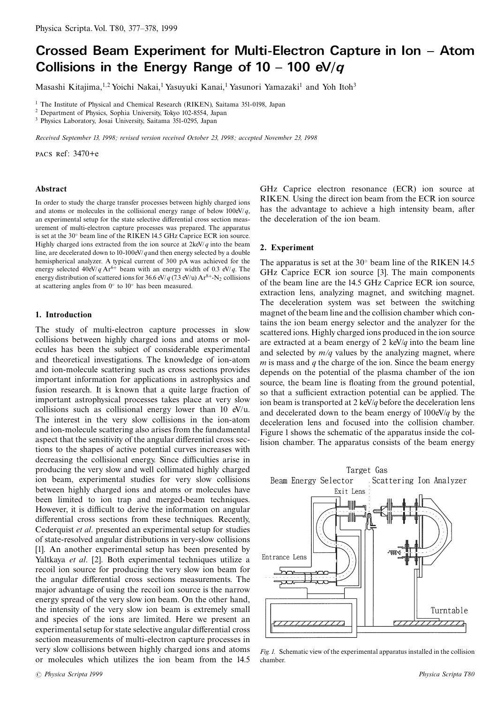# Crossed Beam Experiment for Multi-Electron Capture in Ion - Atom Collisions in the Energy Range of  $10 - 100$  eV/q

Masashi Kitajima,<sup>1,2</sup> Yoichi Nakai,<sup>1</sup> Yasuyuki Kanai,<sup>1</sup> Yasunori Yamazaki<sup>1</sup> and Yoh Itoh<sup>3</sup>

<sup>1</sup> The Institute of Physical and Chemical Research (RIKEN), Saitama 351-0198, Japan

<sup>2</sup> Department of Physics, Sophia University, Tokyo 102-8554, Japan

<sup>3</sup> Physics Laboratory, Josai University, Saitama 351-0295, Japan

Received September 13, 1998; revised version received October 23, 1998; accepted November 23, 1998

PACS Ref: 3470+e

#### Abstract

In order to study the charge transfer processes between highly charged ions and atoms or molecules in the collisional energy range of below  $100 \text{eV}/q$ , an experimental setup for the state selective differential cross section measurement of multi-electron capture processes was prepared. The apparatus is set at the 30° beam line of the RIKEN 14.5 GHz Caprice ECR ion source. Highly charged ions extracted from the ion source at  $2 \text{keV}/q$  into the beam line, are decelerated down to 10-100eV/q and then energy selected by a double hemispherical analyzer. A typical current of 300 pA was achieved for the energy selected  $40 \text{eV}/q \text{Ar}^{6+}$  beam with an energy width of 0.3 eV/q. The energy distribution of scattered ions for 36.6 eV/q (7.3 eV/u)  $Ar^{8+}$ -N<sub>2</sub> collisions at scattering angles from  $0^{\circ}$  to  $10^{\circ}$  has been measured.

# 1. Introduction

The study of multi-electron capture processes in slow collisions between highly charged ions and atoms or molecules has been the subject of considerable experimental and theoretical investigations. The knowledge of ion-atom and ion-molecule scattering such as cross sections provides important information for applications in astrophysics and fusion research. It is known that a quite large fraction of important astrophysical processes takes place at very slow collisions such as collisional energy lower than  $10 \text{ eV/u}$ . The interest in the very slow collisions in the ion-atom and ion-molecule scattering also arises from the fundamental aspect that the sensitivity of the angular differential cross sections to the shapes of active potential curves increases with decreasing the collisional energy. Since difficulties arise in producing the very slow and well collimated highly charged ion beam, experimental studies for very slow collisions between highly charged ions and atoms or molecules have been limited to jon trap and merged-beam techniques. However, it is difficult to derive the information on angular differential cross sections from these techniques. Recently, Cederquist et al. presented an experimental setup for studies of state-resolved angular distributions in very-slow collisions [1]. An another experimental setup has been presented by Yaltkaya et al. [2]. Both experimental techniques utilize a recoil ion source for producing the very slow ion beam for the angular differential cross sections measurements. The major advantage of using the recoil ion source is the narrow energy spread of the very slow ion beam. On the other hand, the intensity of the very slow ion beam is extremely small and species of the ions are limited. Here we present an experimental setup for state selective angular differential cross section measurements of multi-electron capture processes in very slow collisions between highly charged ions and atoms or molecules which utilizes the ion beam from the 14.5

GHz Caprice electron resonance (ECR) ion source at RIKEN. Using the direct ion beam from the ECR ion source has the advantage to achieve a high intensity beam, after the deceleration of the ion beam.

#### 2. Experiment

The apparatus is set at the  $30^{\circ}$  beam line of the RIKEN 14.5 GHz Caprice ECR ion source [3]. The main components of the beam line are the 14.5 GHz Caprice ECR ion source, extraction lens, analyzing magnet, and switching magnet. The deceleration system was set between the switching magnet of the beam line and the collision chamber which contains the ion beam energy selector and the analyzer for the scattered ions. Highly charged ions produced in the ion source are extracted at a beam energy of 2 keV/q into the beam line and selected by  $m/q$  values by the analyzing magnet, where  $m$  is mass and  $q$  the charge of the ion. Since the beam energy depends on the potential of the plasma chamber of the ion source, the beam line is floating from the ground potential, so that a sufficient extraction potential can be applied. The ion beam is transported at 2 keV/q before the deceleration lens and decelerated down to the beam energy of  $100 \text{eV}/q$  by the deceleration lens and focused into the collision chamber. Figure 1 shows the schematic of the apparatus inside the collision chamber. The apparatus consists of the beam energy



Fig. 1. Schematic view of the experimental apparatus installed in the collision chamber.